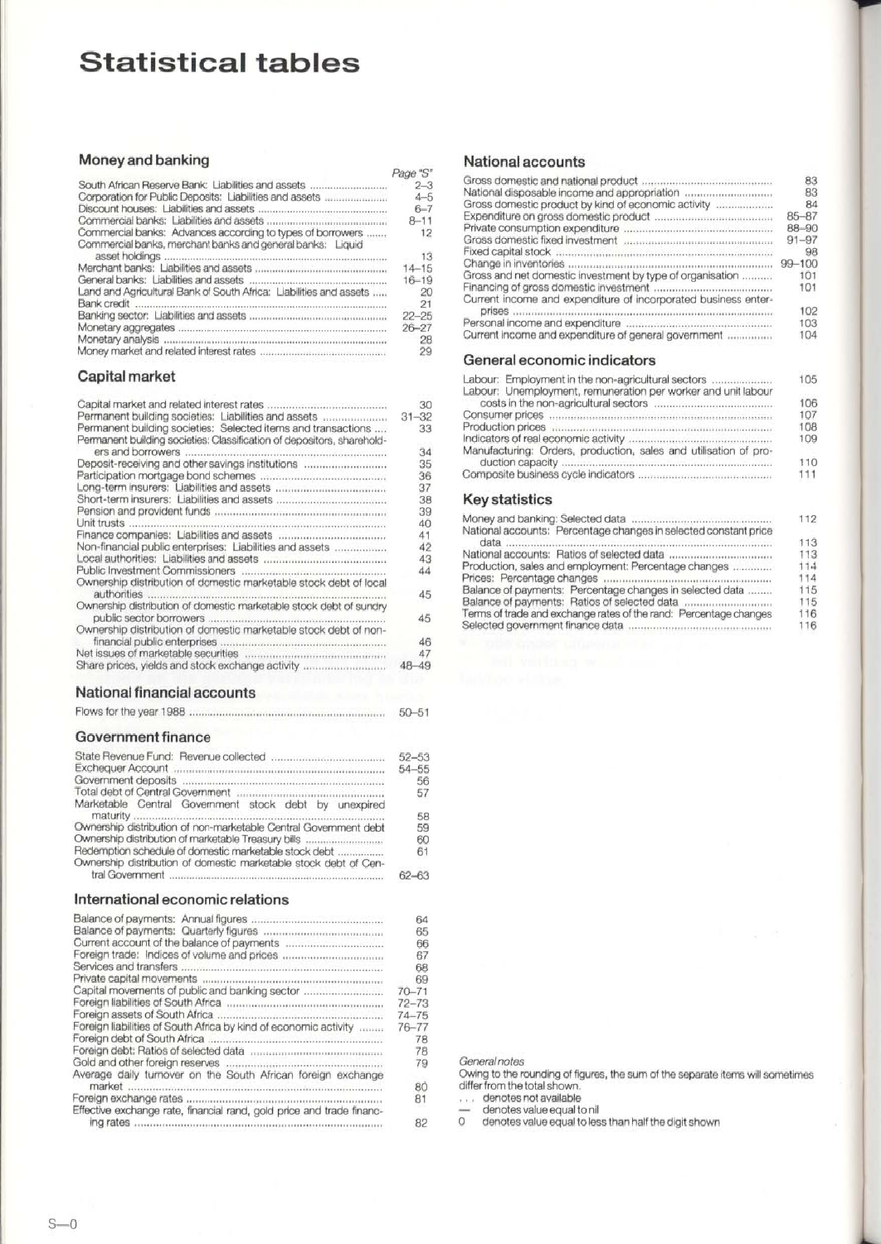## **Statistical tables**

## **Money and banking**

| South African Reserve Bank: Liabilities and assets<br>Corporation for Public Deposits: Liabilities and assets<br>Commercial banks: Advances according to types of borrowers<br>Commercial banks, merchant banks and general banks: Liquid<br>asset holdings<br>Land and Agricultural Bank of South Africa: Liabilities and assets | Page "S"        |
|-----------------------------------------------------------------------------------------------------------------------------------------------------------------------------------------------------------------------------------------------------------------------------------------------------------------------------------|-----------------|
|                                                                                                                                                                                                                                                                                                                                   | $2 - 3$         |
|                                                                                                                                                                                                                                                                                                                                   | $4 - 5$         |
|                                                                                                                                                                                                                                                                                                                                   | $6 - 7$         |
|                                                                                                                                                                                                                                                                                                                                   | $8 - 11$        |
|                                                                                                                                                                                                                                                                                                                                   | 12              |
|                                                                                                                                                                                                                                                                                                                                   |                 |
|                                                                                                                                                                                                                                                                                                                                   | $\overline{13}$ |
|                                                                                                                                                                                                                                                                                                                                   | $14 - 15$       |
|                                                                                                                                                                                                                                                                                                                                   | $16 - 19$       |
|                                                                                                                                                                                                                                                                                                                                   | -20             |
|                                                                                                                                                                                                                                                                                                                                   | 21              |
|                                                                                                                                                                                                                                                                                                                                   | $22 - 25$       |
|                                                                                                                                                                                                                                                                                                                                   | $26 - 27$       |
|                                                                                                                                                                                                                                                                                                                                   | 28              |
|                                                                                                                                                                                                                                                                                                                                   | 29              |

## **Capital market**

|                                                                        | 30        |
|------------------------------------------------------------------------|-----------|
| Permanent building societies: Liabilities and assets                   | $31 - 32$ |
| Permanent building societies: Selected items and transactions          | 33        |
| Permanent building societies: Classification of depositors, sharehold- |           |
| ers and borrowers<br>                                                  | 34        |
| Deposit-receiving and other savings institutions                       | 35        |
|                                                                        | 36        |
|                                                                        | 37        |
|                                                                        | 38        |
|                                                                        | 39        |
| Unit trusts                                                            | 40        |
|                                                                        | 41        |
|                                                                        |           |
| Non-financial public enterprises: Liabilities and assets               | 42        |
|                                                                        | 43        |
| <b>Public Investment Commissioners</b>                                 | 44        |
| Ownership distribution of domestic marketable stock debt of local      |           |
| authorities                                                            | 45        |
| Ownership distribution of domestic marketable stock debt of sundry     |           |
| public sector borrowers                                                | 45        |
| Ownership distribution of domestic marketable stock debt of non-       |           |
|                                                                        |           |
| financial public enterprises.                                          | 46        |
|                                                                        | 47        |
| Share prices, yields and stock exchange activity                       | $48 - 49$ |

## **National financial accounts**

|  |  | $50 - 51$ |
|--|--|-----------|
|--|--|-----------|

## **Government finance**

|                                                                  | $52 - 53$<br>54-55 |
|------------------------------------------------------------------|--------------------|
|                                                                  | 56                 |
|                                                                  | 57                 |
| Marketable Central Government stock debt by unexpired            |                    |
|                                                                  | 58                 |
| Ownership distribution of non-marketable Central Government debt | 59                 |
| Ownership distribution of marketable Treasury bills              | 60                 |
| Redemption schedule of domestic marketable stock debt            | 61                 |
| Ownership distribution of domestic marketable stock debt of Cen- |                    |
|                                                                  | $62 - 63$          |

## **International economic relations**

|                                                                       | 64        |
|-----------------------------------------------------------------------|-----------|
|                                                                       | 65        |
|                                                                       | 66        |
|                                                                       | 67        |
| Services and transfers                                                | 68        |
|                                                                       | 69        |
| Capital movements of public and banking sector                        | $70 - 71$ |
|                                                                       | $72 - 73$ |
|                                                                       | $74 - 75$ |
|                                                                       |           |
| Foreign liabilities of South Africa by kind of economic activity      | $76 - 77$ |
| Foreian debt of South Africa                                          | 78        |
|                                                                       | 78        |
|                                                                       | 79        |
| Average daily turnover on the South African foreign exchange          |           |
|                                                                       | 80        |
|                                                                       | 81        |
| Effective exchange rate, financial rand, gold price and trade financ- |           |
| ing rates                                                             | 82        |
|                                                                       |           |

## **National accounts**

|                                                                | 83         |
|----------------------------------------------------------------|------------|
|                                                                | 83         |
| Gross domestic product by kind of economic activity            | 84         |
|                                                                | $85 - 87$  |
|                                                                |            |
|                                                                | 88-90      |
|                                                                | $91 - 97$  |
|                                                                | 98         |
|                                                                | $99 - 100$ |
| Gross and net domestic investment by type of organisation      | 101        |
|                                                                | 101        |
|                                                                |            |
| Current income and expenditure of incorporated business enter- |            |
| <b>Drises</b>                                                  | 102        |
|                                                                | 103        |
| Current income and expenditure of general government           | 104        |
| General economic indicators                                    |            |
| Lobour. Employment in the nep equipult upl contain             |            |
|                                                                | <b>IOE</b> |

| Labour: Employment in the non-agricultural sectors               | 105 |
|------------------------------------------------------------------|-----|
| Labour: Unemployment, remuneration per worker and unit labour    |     |
|                                                                  | 106 |
|                                                                  | 107 |
|                                                                  | 108 |
|                                                                  | 109 |
| Manufacturing: Orders, production, sales and utilisation of pro- |     |
|                                                                  | 110 |
|                                                                  | 111 |
| Kay etatietice                                                   |     |

#### **Key statistics**

| 112 |
|-----|
|     |
| 113 |
| 113 |
| 114 |
| 114 |
| 115 |
| 115 |
| 116 |
| 116 |
|     |

General notes

Owing to the rounding of figures, the sum of the separate items will sometimes differ from the total shown.

denotes not available

— denotes value equal to nil<br>0 denotes value equal to less than half the digit shown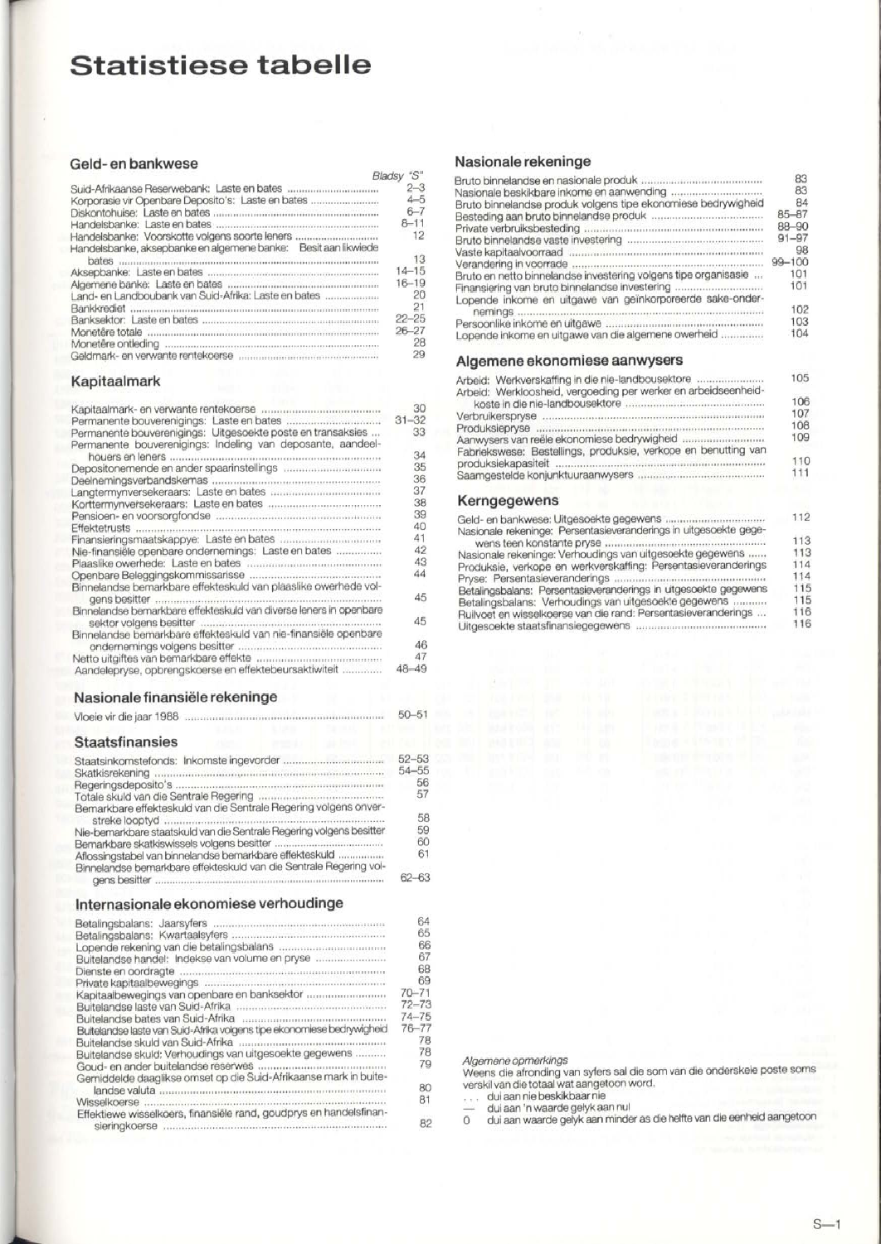## **Statistiese tabelle**

#### **Geld- en bankwese**

| <u>aala oli bailisevaa</u>                                         |            |
|--------------------------------------------------------------------|------------|
|                                                                    | Bladsy "S" |
|                                                                    | $2 - 3$    |
| Korporasie vir Openbare Deposito's: Laste en bates                 | $4 - 5$    |
|                                                                    | $6 - 7$    |
|                                                                    | $8 - 11$   |
| Handelsbanke: Voorskotte volgens soorte leners                     | 12         |
| Handelsbanke, aksepbanke en algemene banke: Besit aan likwiede     |            |
| bates                                                              | 13         |
|                                                                    | $14 - 15$  |
|                                                                    | $16 - 19$  |
| Land- en Landboubank van Suid-Afrika: Laste en bates               | 20         |
| Bankkrediet                                                        | 21         |
|                                                                    | $22 - 25$  |
|                                                                    | $26 - 27$  |
| Monetêre ontleding communications communications and contamination | 28         |
|                                                                    | 29         |

## **Kapitaalmark**

|                                                                                 | 30        |
|---------------------------------------------------------------------------------|-----------|
|                                                                                 | $31 - 32$ |
| Permanente bouverenigings: Uitgesoekte poste en transaksies                     | 33        |
| Permanente bouverenigings: Indeling van deposante, aandeel-<br>houers en leners | 34        |
|                                                                                 | 35        |
|                                                                                 | 36        |
|                                                                                 | 37        |
|                                                                                 |           |
|                                                                                 | 38        |
|                                                                                 | 39        |
|                                                                                 | 40        |
| Finansieringsmaatskappye: Laste en bates                                        | 41        |
| Nie-finansiële openbare ondernemings: Laste en bates                            | 42        |
|                                                                                 | 43        |
|                                                                                 | 44        |
| Binnelandse bemarkbare effekteskuld van plaaslike owerhede vol-                 |           |
| gens besitter                                                                   | 45        |
| Binnelandse bemarkbare effekteskuld van diverse leners in openbare              |           |
|                                                                                 | 45        |
| Binnelandse bemarkbare effekteskuld van nie-finansiële openbare                 |           |
|                                                                                 | 46        |
|                                                                                 | 47        |
| Aandelepryse, opbrengskoerse en effektebeursaktiwiteit                          | 48-49     |

### **Nasionale finansiële rekeninge**

Vloeie vir die jaar 1988 50-51

## **Staatsfinansies**

|                                                                      | $52 - 53$ |
|----------------------------------------------------------------------|-----------|
|                                                                      | $54 - 55$ |
|                                                                      | 56        |
|                                                                      | 57        |
| Bemarkbare effekteskuld van die Sentrale Regering volgens onver-     |           |
|                                                                      | 58        |
| Nie-bemarkbare staatskuld van die Sentrale Regering volgens besitter | 59        |
|                                                                      | 60        |
| Aflossingstabel van binnelandse bemarkbare effekteskuld              | 61        |
| Binnelandse bemarkbare effekteskuld van die Sentrale Regering vol-   |           |
|                                                                      | 62–63     |

## **Internasionale ekonomiese verhoudinge**

|                                                                        | 64        |
|------------------------------------------------------------------------|-----------|
|                                                                        | 65        |
|                                                                        | 66        |
| Buitelandse handel: Indekse van volume en pryse                        | 67        |
|                                                                        | 68        |
|                                                                        |           |
|                                                                        | 69        |
| Kapitaalbewegings van openbare en banksektor                           | $70 - 71$ |
|                                                                        | $72 - 73$ |
|                                                                        | $74 - 75$ |
| Buitelandse laste van Suid-Afrika volgens tipe ekonomiese bedrywigheid | 76-77     |
|                                                                        | 78        |
| Buitelandse skuld: Verhoudings van uitgesoekte gegewens                | 78        |
|                                                                        | 79        |
|                                                                        |           |
| Gemiddelde daaglikse omset op die Suid-Afrikaanse mark in buite-       |           |
|                                                                        | 80        |
|                                                                        | 81        |
| Effektiewe wisselkoers, finansiële rand, goudprys en handelsfinan-     |           |
|                                                                        | 82        |
|                                                                        |           |

### **Nasionale rekeninge**

|                                                                 | 83        |
|-----------------------------------------------------------------|-----------|
|                                                                 | 83        |
| Bruto binnelandse produk volgens tipe ekonomiese bedrywigheid   | 84        |
|                                                                 | $85 - 87$ |
|                                                                 | 88-90     |
|                                                                 | $91 - 97$ |
|                                                                 | 98        |
|                                                                 | 99-100    |
| Bruto en netto binnelandse investering volgens tipe organisasie | 101       |
| Finansiering van bruto binnelandse investering                  | 101       |
| Lopende inkome en uitgawe van geïnkorporeerde sake-onder-       |           |
|                                                                 | 102       |
| nemings.                                                        | 103       |
|                                                                 | 104       |
| Lopende inkome en uitgawe van die algemene owerheid             |           |
|                                                                 |           |
| Algemene ekonomiese aanwysers                                   |           |
| Arbeid: Werkverskaffing in die nie-landbousektore               | 105       |
| Arbeid: Werkloosheid, vergoeding per werker en arbeidseenheid-  | 106       |
|                                                                 | 107       |
| <i>Modern Burner</i> me me                                      |           |

|                                                                                                               | 107        |
|---------------------------------------------------------------------------------------------------------------|------------|
| Aanwysers van reële ekonomiese bedrywigheid<br>Fabriekswese: Bestellings, produksie, verkope en benutting van | 108<br>109 |
|                                                                                                               | 110<br>111 |
| Kerngegewens                                                                                                  |            |
| Nasionale rekeninge: Persentasieveranderings in uitgesoekte gege-                                             | 112        |
|                                                                                                               | 113        |
| Nasionale rekeninge: Verhoudings van uitgesoekte gegewens                                                     | 113        |
| Produksie, verkope en werkverskaffing: Persentasieveranderings                                                | 114        |

|                                                                  | 114 |
|------------------------------------------------------------------|-----|
| Betalingsbalans: Persentasieveranderings in uitgesoekte gegewens | 115 |
| Betalingsbalans: Verhoudings van uitgesoekte gegewens            | 115 |
| Ruilvoet en wisselkoerse van die rand: Persentasieveranderings   | 116 |
|                                                                  | 116 |

Algemene opmerkings Weens die afronding van syfers sal die som van die onderskeie poste soms

verskil van die totaal wat aangetoon word,<br>... dui aan nie beskikbaar nie<br>o dui aan 'n waarde gelyk aan nul<br>0 dui aan waarde gelyk aan minder as die helfte van die eenheid aangetoor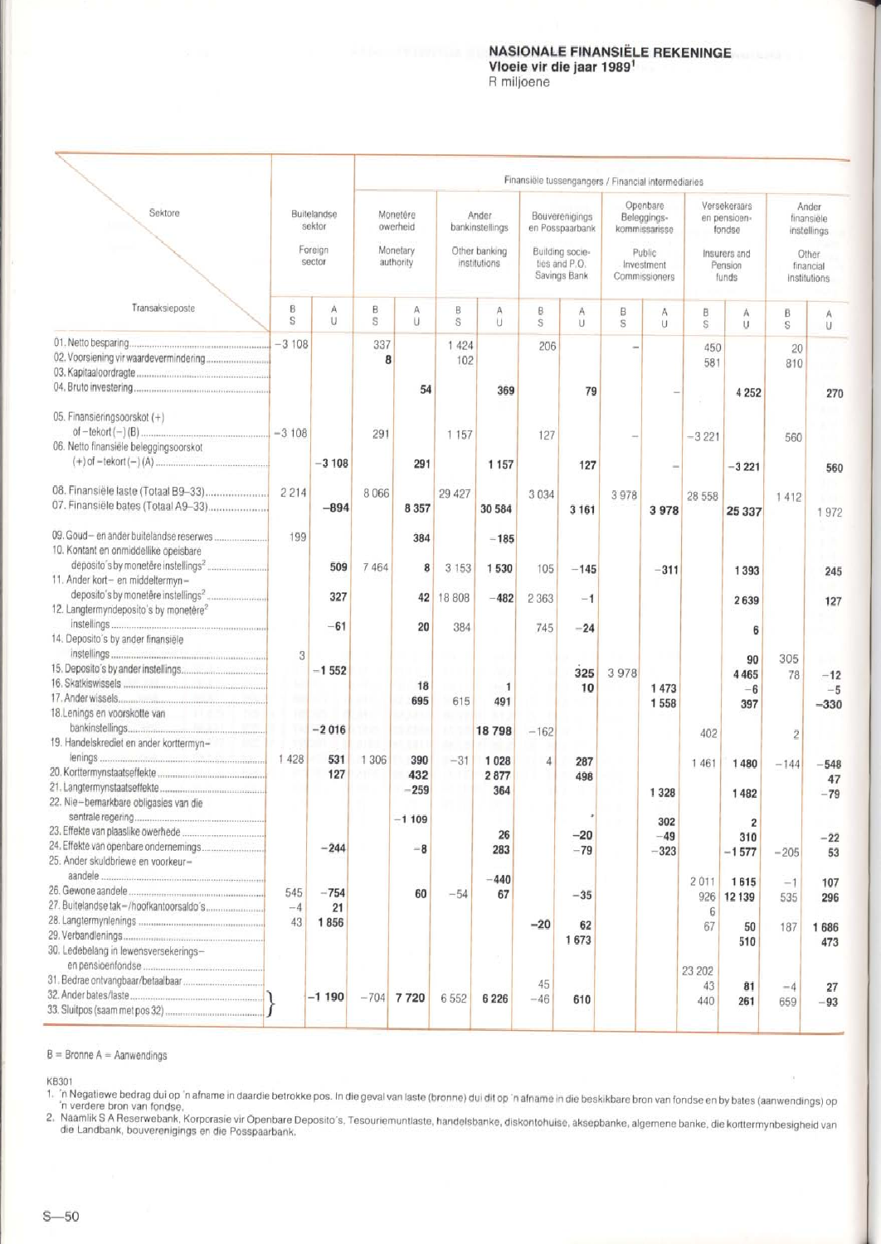#### **NASIONALE FINANSIELE REKENINGE Vloeie vir die jaar 1989<sup>1</sup> R miljoene**

|                                                                                 |                                            |              |                                               |                 |                                                           |                       |                                                                                       |                | Finansiële tussengangers / Financial intermediaries                               |                        |                                                                             |                        |                                                                          |                         |
|---------------------------------------------------------------------------------|--------------------------------------------|--------------|-----------------------------------------------|-----------------|-----------------------------------------------------------|-----------------------|---------------------------------------------------------------------------------------|----------------|-----------------------------------------------------------------------------------|------------------------|-----------------------------------------------------------------------------|------------------------|--------------------------------------------------------------------------|-------------------------|
| Sektore                                                                         | Buitelandse<br>sektor<br>Foreign<br>sector |              | Monetêre<br>owerheid<br>Monetary<br>authority |                 | Ander<br>bankinstellings<br>Other banking<br>institutions |                       | Bouverenigings<br>en Posspaarbank<br>Building socie-<br>ties and P.O.<br>Savings Bank |                | Openbare<br>Beleggings-<br>kommissarisse<br>Public<br>Investment<br>Commissioners |                        | Versekeraars<br>en pensioen-<br>fondse<br>Insurers and<br>Pension<br>funds. |                        | Ander<br>finansiele<br>instellings<br>Other<br>financial<br>institutions |                         |
|                                                                                 |                                            |              |                                               |                 |                                                           |                       |                                                                                       |                |                                                                                   |                        |                                                                             |                        |                                                                          |                         |
| Transaksieposte                                                                 | B<br>S                                     | A<br>U       | B<br>s                                        | Α<br>U          | B<br>S                                                    | Α<br>U                | ₿.<br>S                                                                               | Α<br>U         | B<br>S                                                                            | Α<br>U                 | в<br>Š.                                                                     | Α<br>U                 | B<br>S                                                                   | Α<br>U                  |
|                                                                                 | $-3108$                                    |              | 337<br>8                                      |                 | 1 4 2 4<br>102                                            |                       | 206                                                                                   |                |                                                                                   |                        | 450<br>581                                                                  |                        | 20<br>810                                                                |                         |
|                                                                                 |                                            |              |                                               | 54              |                                                           | 369                   |                                                                                       | 79             |                                                                                   |                        |                                                                             | 4 2 5 2                |                                                                          | 270                     |
| 05. Finansieringsoorskot (+)<br>06. Netto finansiële beleggingsoorskot          |                                            |              | 291                                           |                 | 1 157                                                     |                       | 127                                                                                   |                |                                                                                   |                        | $-3221$                                                                     |                        | 560                                                                      |                         |
|                                                                                 |                                            | $-3108$      |                                               | 291             |                                                           | 1 1 5 7               |                                                                                       | 127            |                                                                                   |                        |                                                                             | $-3221$                |                                                                          | 560                     |
| 08. Finansiële laste (Totaal B9-33)<br>07. Finansiële bates (Totaal A9-33)      | 2214                                       | $-894$       | 8 0 6 6                                       | 8 3 5 7         | 29 427                                                    | 30 584                | 3034                                                                                  | 3 1 6 1        | 3978                                                                              | 3978                   | 28 558                                                                      | 25 337                 | 1412                                                                     | 1972                    |
| 09. Goud-en ander buitelandse reserwes<br>10. Kontant en onmiddellike opeisbare | 199                                        |              |                                               | 384             |                                                           | $-185$                |                                                                                       |                |                                                                                   |                        |                                                                             |                        |                                                                          |                         |
| 11. Ander kort- en middeltermyn-                                                |                                            | 509          | 7 4 6 4                                       | 8               | 3 1 5 3                                                   | 1530                  | 105                                                                                   | $-145$         |                                                                                   | $-311$                 |                                                                             | 1 3 9 3                |                                                                          | 245                     |
| 12. Langtermyndeposito's by monetêre <sup>2</sup>                               |                                            | 327<br>$-61$ |                                               | 42<br>20        | 18 808<br>384                                             | $-482$                | 2 3 6 3<br>745                                                                        | $-1$           |                                                                                   |                        |                                                                             | 2639                   |                                                                          | 127                     |
| 14. Deposito's by ander finansiële                                              | 3                                          |              |                                               |                 |                                                           |                       |                                                                                       | $-24$          |                                                                                   |                        |                                                                             | 6<br>90                | 305                                                                      |                         |
|                                                                                 |                                            | $-1552$      |                                               | 18<br>695       | 615                                                       | $\overline{1}$<br>491 |                                                                                       | 325<br>10      | 3978                                                                              | 1 473<br>1558          |                                                                             | 4 4 6 5<br>$-6$<br>397 | 78                                                                       | $-12$<br>$-5$<br>$-330$ |
| 18. Lenings en voorskotte van                                                   |                                            | $-2016$      | 88<br>98                                      |                 |                                                           | 18798                 | $-162$                                                                                |                |                                                                                   |                        | 402                                                                         |                        | $\overline{c}$                                                           |                         |
| 19. Handelskrediet en ander korttermyn-                                         | 1428                                       | 531<br>127   | 1 3 0 6                                       | 390<br>432      | $-31$                                                     | 1 0 2 8<br>2877       | 4                                                                                     | 287<br>498     |                                                                                   |                        | 1461                                                                        | 1480                   | $-144$                                                                   | $-548$                  |
| 22. Nie-bemarkbare obligasies van die                                           |                                            |              |                                               | $-259$          |                                                           | 364                   |                                                                                       |                |                                                                                   | 1 3 2 8                |                                                                             | 1482                   |                                                                          | 47<br>$-79$             |
| 24. Effekte van openbare ondernemings<br>25. Ander skuldbriewe en voorkeur-     |                                            | $-244$       |                                               | $-1109$<br>$-8$ |                                                           | 26<br>283             |                                                                                       | $-20$<br>$-79$ |                                                                                   | 302<br>$-49$<br>$-323$ |                                                                             | 310<br>$-1577$         | $-205$                                                                   | -22<br>53               |
|                                                                                 | 545                                        | $-754$       |                                               | 60              | $-54$                                                     | $-440$<br>67          |                                                                                       | $-35$          |                                                                                   |                        | 2011<br>926                                                                 | 1615<br>12 139         | $-1$<br>535                                                              | 107<br>296              |
|                                                                                 | $-4$<br>43                                 | 21<br>1856   |                                               |                 |                                                           |                       | $-20$                                                                                 | 62<br>1673     |                                                                                   |                        | 6<br>67                                                                     | 50<br>510              | 187                                                                      | 1686<br>473             |
| 30. Ledebelang in lewensversekerings-                                           |                                            |              |                                               |                 |                                                           |                       | 45                                                                                    |                |                                                                                   |                        | 23 202                                                                      |                        |                                                                          |                         |
|                                                                                 |                                            | $-1190$      |                                               | $-704$ 7 720    | 6552                                                      | 6 2 2 6               | $-46$                                                                                 | 610            |                                                                                   |                        | 43<br>440                                                                   | 81<br>261              | $-4$<br>659                                                              | 27<br>$-93$             |

 $B =$  Bronne A = Aanwendings

KB301

1. 'n Negatiewe bed rag dui op 'n afname in daardie betrokke pos. In die geval van laste (bronne) dui dit op 'n afname in die beskikbare bron van fondse en by bates (aanwendings) op n verdere bron van fondse.

. Naamlik S A Reserwebank, Korporasie vir Openbare Deposito's, Tesouriemuntlaste, handelsbanke, diskontohuise, aksepbanke, algemene banke, die korttermynbesigheid van die Landbank, bouverenigings en die Posspaarbank.